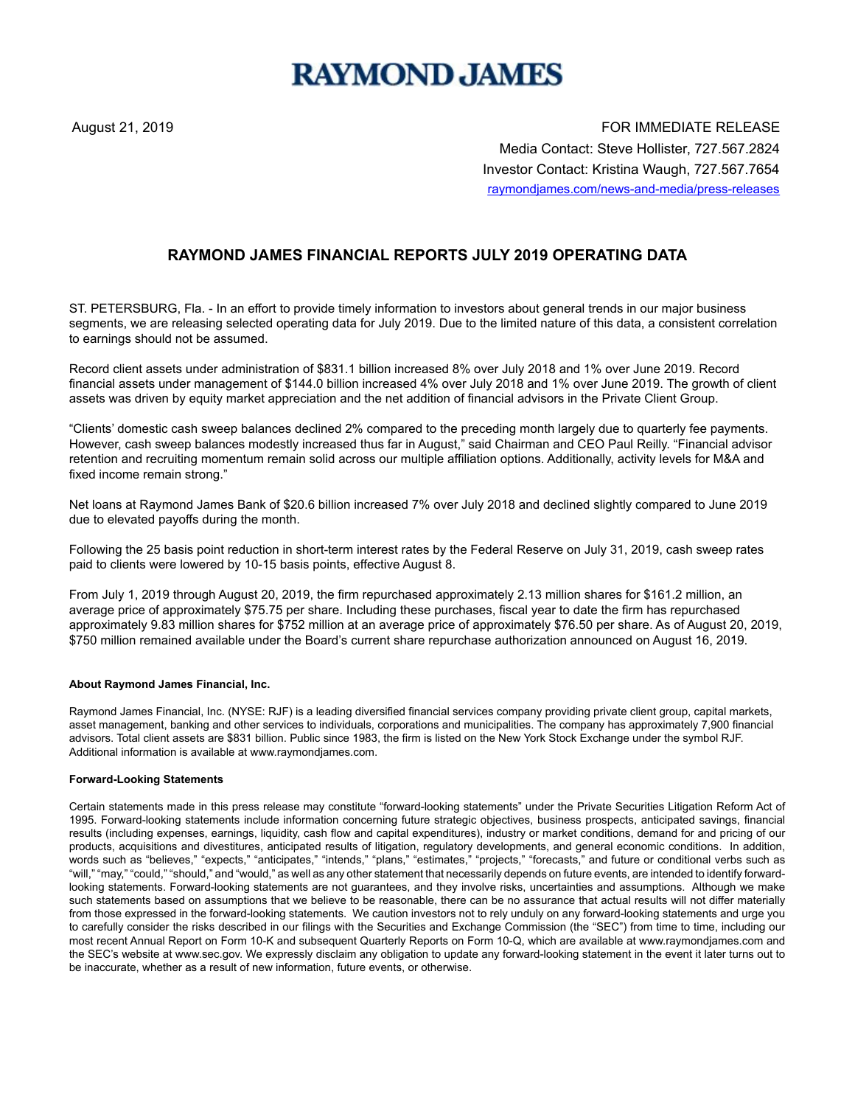# **RAYMOND JAMES**

August 21, 2019 FOR IMMEDIATE RELEASE Media Contact: Steve Hollister, 727.567.2824 Investor Contact: Kristina Waugh, 727.567.7654 raymondjames.com/news-and-media/press-releases

## **RAYMOND JAMES FINANCIAL REPORTS JULY 2019 OPERATING DATA**

ST. PETERSBURG, Fla. - In an effort to provide timely information to investors about general trends in our major business segments, we are releasing selected operating data for July 2019. Due to the limited nature of this data, a consistent correlation to earnings should not be assumed.

Record client assets under administration of \$831.1 billion increased 8% over July 2018 and 1% over June 2019. Record financial assets under management of \$144.0 billion increased 4% over July 2018 and 1% over June 2019. The growth of client assets was driven by equity market appreciation and the net addition of financial advisors in the Private Client Group.

"Clients' domestic cash sweep balances declined 2% compared to the preceding month largely due to quarterly fee payments. However, cash sweep balances modestly increased thus far in August," said Chairman and CEO Paul Reilly. "Financial advisor retention and recruiting momentum remain solid across our multiple affiliation options. Additionally, activity levels for M&A and fixed income remain strong."

Net loans at Raymond James Bank of \$20.6 billion increased 7% over July 2018 and declined slightly compared to June 2019 due to elevated payoffs during the month.

Following the 25 basis point reduction in short-term interest rates by the Federal Reserve on July 31, 2019, cash sweep rates paid to clients were lowered by 10-15 basis points, effective August 8.

From July 1, 2019 through August 20, 2019, the firm repurchased approximately 2.13 million shares for \$161.2 million, an average price of approximately \$75.75 per share. Including these purchases, fiscal year to date the firm has repurchased approximately 9.83 million shares for \$752 million at an average price of approximately \$76.50 per share. As of August 20, 2019, \$750 million remained available under the Board's current share repurchase authorization announced on August 16, 2019.

#### **About Raymond James Financial, Inc.**

Raymond James Financial, Inc. (NYSE: RJF) is a leading diversified financial services company providing private client group, capital markets, asset management, banking and other services to individuals, corporations and municipalities. The company has approximately 7,900 financial advisors. Total client assets are \$831 billion. Public since 1983, the firm is listed on the New York Stock Exchange under the symbol RJF. Additional information is available at www.raymondjames.com.

#### **Forward-Looking Statements**

Certain statements made in this press release may constitute "forward-looking statements" under the Private Securities Litigation Reform Act of 1995. Forward-looking statements include information concerning future strategic objectives, business prospects, anticipated savings, financial results (including expenses, earnings, liquidity, cash flow and capital expenditures), industry or market conditions, demand for and pricing of our products, acquisitions and divestitures, anticipated results of litigation, regulatory developments, and general economic conditions. In addition, words such as "believes," "expects," "anticipates," "intends," "plans," "estimates," "projects," "forecasts," and future or conditional verbs such as "will," "may," "could," "should," and "would," as well as any other statement that necessarily depends on future events, are intended to identify forwardlooking statements. Forward-looking statements are not guarantees, and they involve risks, uncertainties and assumptions. Although we make such statements based on assumptions that we believe to be reasonable, there can be no assurance that actual results will not differ materially from those expressed in the forward-looking statements. We caution investors not to rely unduly on any forward-looking statements and urge you to carefully consider the risks described in our filings with the Securities and Exchange Commission (the "SEC") from time to time, including our most recent Annual Report on Form 10-K and subsequent Quarterly Reports on Form 10-Q, which are available at www.raymondjames.com and the SEC's website at www.sec.gov. We expressly disclaim any obligation to update any forward-looking statement in the event it later turns out to be inaccurate, whether as a result of new information, future events, or otherwise.